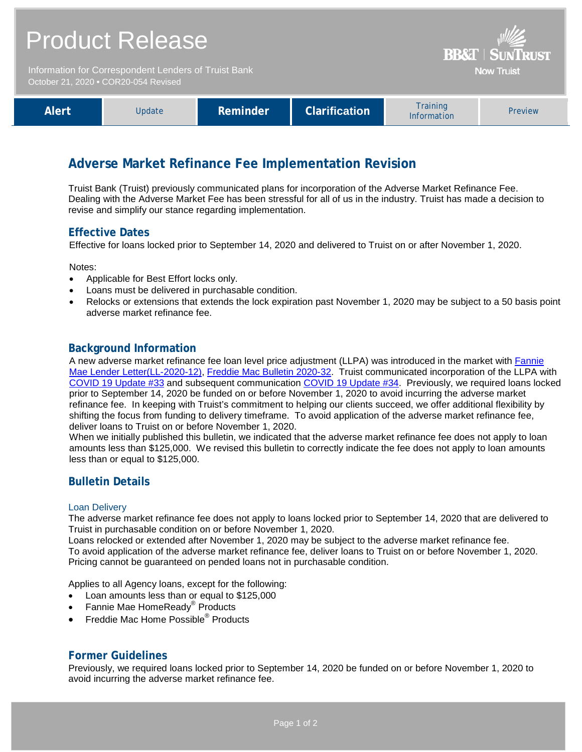| <b>Product Release</b><br>Information for Correspondent Lenders of Truist Bank<br>October 21, 2020 . COR20-054 Revised |        |          |                      | <b>BB&amp;T   SUNTRUST</b><br><b>Now Truist</b> |         |
|------------------------------------------------------------------------------------------------------------------------|--------|----------|----------------------|-------------------------------------------------|---------|
| <b>Alert</b>                                                                                                           | Update | Reminder | <b>Clarification</b> | <b>Training</b><br>Information                  | Preview |

# **Adverse Market Refinance Fee Implementation Revision**

Truist Bank (Truist) previously communicated plans for incorporation of the Adverse Market Refinance Fee. Dealing with the Adverse Market Fee has been stressful for all of us in the industry. Truist has made a decision to revise and simplify our stance regarding implementation.

## **Effective Dates**

Effective for loans locked prior to September 14, 2020 and delivered to Truist on or after November 1, 2020.

Notes:

- Applicable for Best Effort locks only.
- Loans must be delivered in purchasable condition.
- Relocks or extensions that extends the lock expiration past November 1, 2020 may be subject to a 50 basis point adverse market refinance fee.

#### **Background Information**

A new adverse market refinance fee loan level price adjustment (LLPA) was introduced in the market with [Fannie](https://singlefamily.fanniemae.com/media/23726/display)  [Mae Lender Letter\(LL-2020-12\),](https://singlefamily.fanniemae.com/media/23726/display) [Freddie Mac Bulletin 2020-32.](https://guide.freddiemac.com/app/guide/bulletin/2020-32) Truist communicated incorporation of the LLPA with [COVID 19 Update #33](https://www.truistsellerguide.com/Manual/cor/flashes/COV33.pdf) and subsequent communication [COVID 19 Update #34.](https://www.truistsellerguide.com/Manual/cor/flashes/COV34.pdf) Previously, we required loans locked prior to September 14, 2020 be funded on or before November 1, 2020 to avoid incurring the adverse market refinance fee. In keeping with Truist's commitment to helping our clients succeed, we offer additional flexibility by shifting the focus from funding to delivery timeframe. To avoid application of the adverse market refinance fee, deliver loans to Truist on or before November 1, 2020.

When we initially published this bulletin, we indicated that the adverse market refinance fee does not apply to loan amounts less than \$125,000. We revised this bulletin to correctly indicate the fee does not apply to loan amounts less than or equal to \$125,000.

### **Bulletin Details**

#### Loan Delivery

The adverse market refinance fee does not apply to loans locked prior to September 14, 2020 that are delivered to Truist in purchasable condition on or before November 1, 2020.

Loans relocked or extended after November 1, 2020 may be subject to the adverse market refinance fee. To avoid application of the adverse market refinance fee, deliver loans to Truist on or before November 1, 2020. Pricing cannot be guaranteed on pended loans not in purchasable condition.

Applies to all Agency loans, except for the following:

- Loan amounts less than or equal to \$125,000
- Fannie Mae HomeReady® Products
- Freddie Mac Home Possible® Products

### **Former Guidelines**

Previously, we required loans locked prior to September 14, 2020 be funded on or before November 1, 2020 to avoid incurring the adverse market refinance fee.